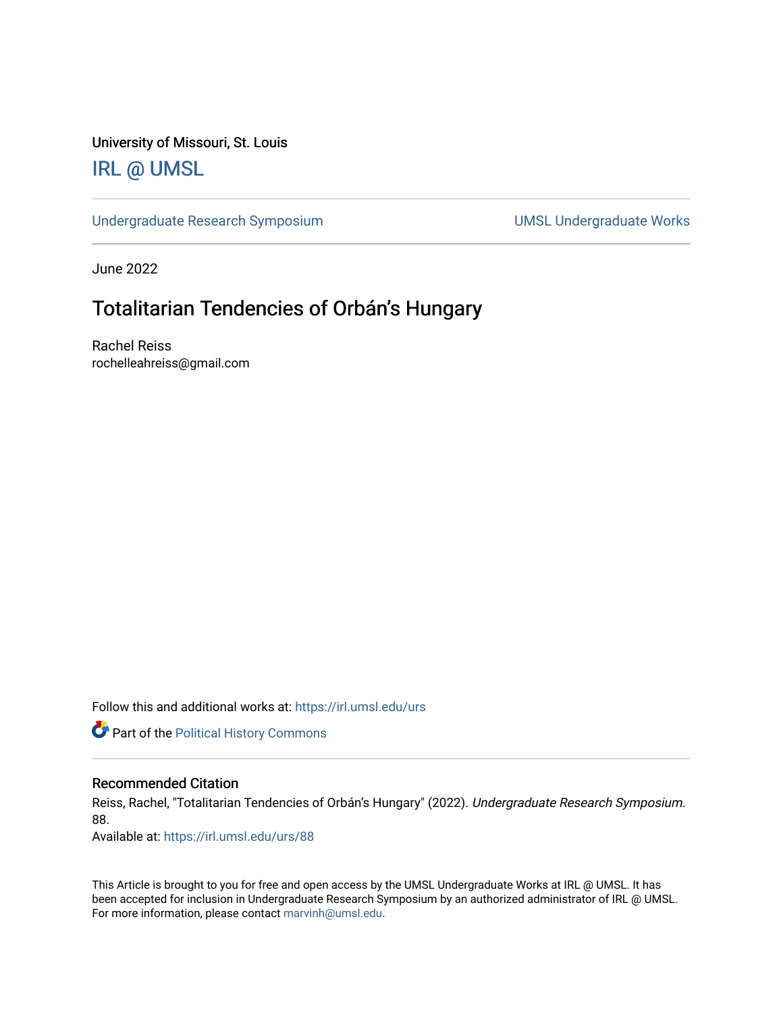University of Missouri, St. Louis

## [IRL @ UMSL](https://irl.umsl.edu/)

[Undergraduate Research Symposium](https://irl.umsl.edu/urs) and a state of UMSL Undergraduate Works

June 2022

## Totalitarian Tendencies of Orbán's Hungary

Rachel Reiss rochelleahreiss@gmail.com

Follow this and additional works at: [https://irl.umsl.edu/urs](https://irl.umsl.edu/urs?utm_source=irl.umsl.edu%2Furs%2F88&utm_medium=PDF&utm_campaign=PDFCoverPages)

**Part of the Political History Commons** 

## Recommended Citation

Reiss, Rachel, "Totalitarian Tendencies of Orbán's Hungary" (2022). Undergraduate Research Symposium. 88.

Available at: [https://irl.umsl.edu/urs/88](https://irl.umsl.edu/urs/88?utm_source=irl.umsl.edu%2Furs%2F88&utm_medium=PDF&utm_campaign=PDFCoverPages) 

This Article is brought to you for free and open access by the UMSL Undergraduate Works at IRL @ UMSL. It has been accepted for inclusion in Undergraduate Research Symposium by an authorized administrator of IRL @ UMSL. For more information, please contact [marvinh@umsl.edu](mailto:marvinh@umsl.edu).